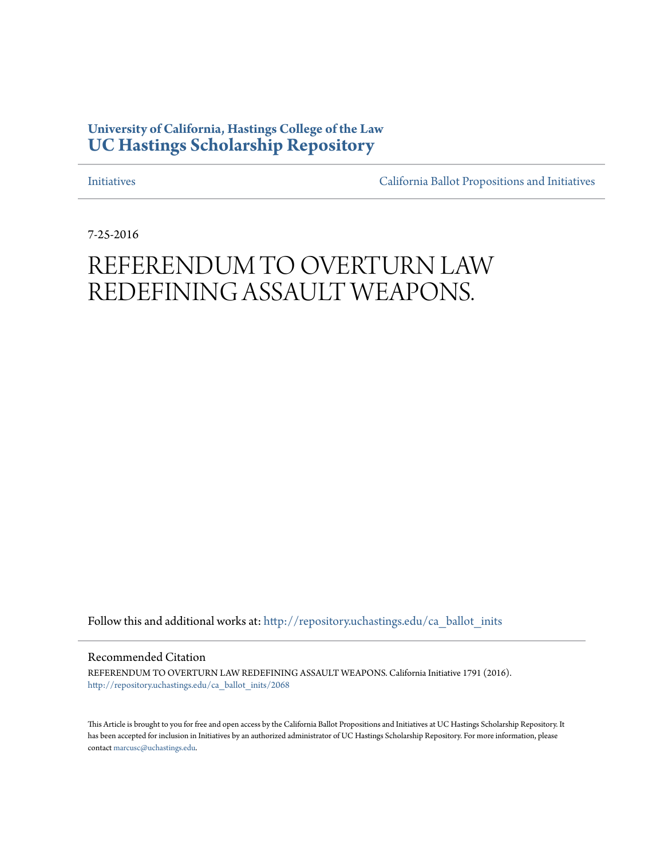# **University of California, Hastings College of the Law [UC Hastings Scholarship Repository](http://repository.uchastings.edu?utm_source=repository.uchastings.edu%2Fca_ballot_inits%2F2068&utm_medium=PDF&utm_campaign=PDFCoverPages)**

[Initiatives](http://repository.uchastings.edu/ca_ballot_inits?utm_source=repository.uchastings.edu%2Fca_ballot_inits%2F2068&utm_medium=PDF&utm_campaign=PDFCoverPages) [California Ballot Propositions and Initiatives](http://repository.uchastings.edu/ca_ballots?utm_source=repository.uchastings.edu%2Fca_ballot_inits%2F2068&utm_medium=PDF&utm_campaign=PDFCoverPages)

7-25-2016

# REFERENDUM TO OVERTURN LAW REDEFINING ASSAULT WEAPONS.

Follow this and additional works at: [http://repository.uchastings.edu/ca\\_ballot\\_inits](http://repository.uchastings.edu/ca_ballot_inits?utm_source=repository.uchastings.edu%2Fca_ballot_inits%2F2068&utm_medium=PDF&utm_campaign=PDFCoverPages)

Recommended Citation

REFERENDUM TO OVERTURN LAW REDEFINING ASSAULT WEAPONS. California Initiative 1791 (2016). [http://repository.uchastings.edu/ca\\_ballot\\_inits/2068](http://repository.uchastings.edu/ca_ballot_inits/2068?utm_source=repository.uchastings.edu%2Fca_ballot_inits%2F2068&utm_medium=PDF&utm_campaign=PDFCoverPages)

This Article is brought to you for free and open access by the California Ballot Propositions and Initiatives at UC Hastings Scholarship Repository. It has been accepted for inclusion in Initiatives by an authorized administrator of UC Hastings Scholarship Repository. For more information, please contact [marcusc@uchastings.edu](mailto:marcusc@uchastings.edu).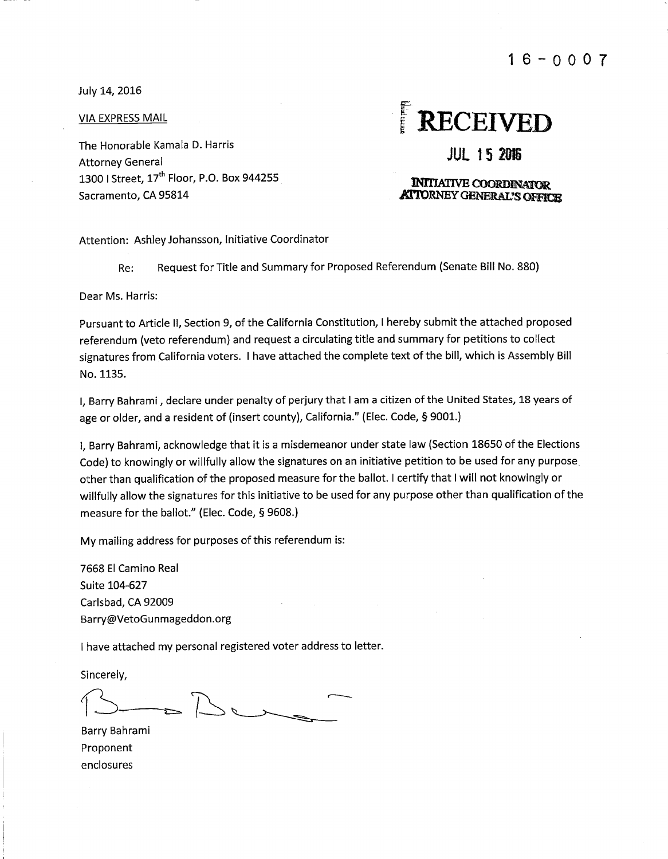$16 - 0007$ 

July 14, 2016

**VIA EXPRESS MAIL** 

The Honorable Kamala D. Harris **Attorney General** 1300 | Street, 17<sup>th</sup> Floor, P.O. Box 944255 Sacramento, CA 95814

# $\frac{1}{2}$ **RECEIVED**

**JUL 15 2016** 

#### **INITIATIVE COORDINATOR ATTORNEY GENERAL'S OFFICE**

Attention: Ashley Johansson, Initiative Coordinator

Request for Title and Summary for Proposed Referendum (Senate Bill No. 880) Re:

Dear Ms. Harris:

Pursuant to Article II, Section 9, of the California Constitution, I hereby submit the attached proposed referendum (veto referendum) and request a circulating title and summary for petitions to collect signatures from California voters. I have attached the complete text of the bill, which is Assembly Bill No. 1135.

I. Barry Bahrami, declare under penalty of perjury that I am a citizen of the United States, 18 years of age or older, and a resident of (insert county), California." (Elec. Code, § 9001.)

I, Barry Bahrami, acknowledge that it is a misdemeanor under state law (Section 18650 of the Elections Code) to knowingly or willfully allow the signatures on an initiative petition to be used for any purpose. other than qualification of the proposed measure for the ballot. I certify that I will not knowingly or willfully allow the signatures for this initiative to be used for any purpose other than qualification of the measure for the ballot." (Elec. Code, § 9608.)

My mailing address for purposes of this referendum is:

7668 El Camino Real Suite 104-627 Carlsbad, CA 92009 Barry@VetoGunmageddon.org

I have attached my personal registered voter address to letter.

Sincerely,

Barry Bahrami Proponent enclosures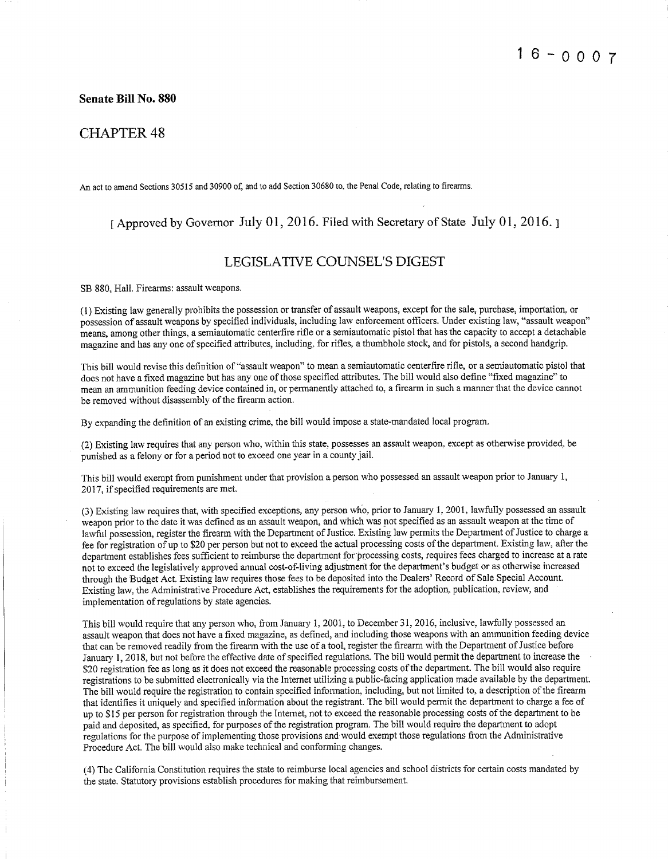**Senate Bill No. 880** 

### **CHAPTER 48**

An act to amend Sections 30515 and 30900 of, and to add Section 30680 to, the Penal Code, relating to firearms.

## [Approved by Governor July 01, 2016. Filed with Secretary of State July 01, 2016.]

#### **LEGISLATIVE COUNSEL'S DIGEST**

SB 880. Hall. Firearms: assault weapons.

(1) Existing law generally prohibits the possession or transfer of assault weapons, except for the sale, purchase, importation, or possession of assault weapons by specified individuals, including law enforcement officers. Under existing law, "assault weapon" means, among other things, a semiautomatic centerfire rifle or a semiautomatic pistol that has the capacity to accept a detachable magazine and has any one of specified attributes, including, for rifles, a thumbhole stock, and for pistols, a second handerip.

This bill would revise this definition of "assault weapon" to mean a semiautomatic centerfire rifle, or a semiautomatic pistol that does not have a fixed magazine but has any one of those specified attributes. The bill would also define "fixed magazine" to mean an ammunition feeding device contained in, or permanently attached to, a firearm in such a manner that the device cannot be removed without disassembly of the firearm action.

By expanding the definition of an existing crime, the bill would impose a state-mandated local program.

(2) Existing law requires that any person who, within this state, possesses an assault weapon, except as otherwise provided, be punished as a felony or for a period not to exceed one year in a county jail.

This bill would exempt from punishment under that provision a person who possessed an assault weapon prior to January 1, 2017, if specified requirements are met.

(3) Existing law requires that, with specified exceptions, any person who, prior to January 1, 2001, lawfully possessed an assault weapon prior to the date it was defined as an assault weapon, and which was not specified as an assault weapon at the time of lawful possession, register the firearm with the Department of Justice. Existing law permits the Department of Justice to charge a fee for registration of up to \$20 per person but not to exceed the actual processing costs of the department. Existing law, after the department establishes fees sufficient to reimburse the department for processing costs, requires fees charged to increase at a rate not to exceed the legislatively approved annual cost-of-living adjustment for the department's budget or as otherwise increased through the Budget Act. Existing law requires those fees to be deposited into the Dealers' Record of Sale Special Account. Existing law, the Administrative Procedure Act, establishes the requirements for the adoption, publication, review, and implementation of regulations by state agencies.

This bill would require that any person who, from January 1, 2001, to December 31, 2016, inclusive, lawfully possessed an assault weapon that does not have a fixed magazine, as defined, and including those weapons with an ammunition feeding device that can be removed readily from the firearm with the use of a tool, register the firearm with the Department of Justice before January 1, 2018, but not before the effective date of specified regulations. The bill would permit the department to increase the \$20 registration fee as long as it does not exceed the reasonable processing costs of the department. The bill would also require registrations to be submitted electronically via the Internet utilizing a public-facing application made available by the department. The bill would require the registration to contain specified information, including, but not limited to, a description of the firearm that identifies it uniquely and specified information about the registrant. The bill would permit the department to charge a fee of up to \$15 per person for registration through the Internet, not to exceed the reasonable processing costs of the department to be paid and deposited, as specified, for purposes of the registration program. The bill would require the department to adopt regulations for the purpose of implementing those provisions and would exempt those regulations from the Administrative Procedure Act. The bill would also make technical and conforming changes.

(4) The California Constitution requires the state to reimburse local agencies and school districts for certain costs mandated by the state. Statutory provisions establish procedures for making that reimbursement.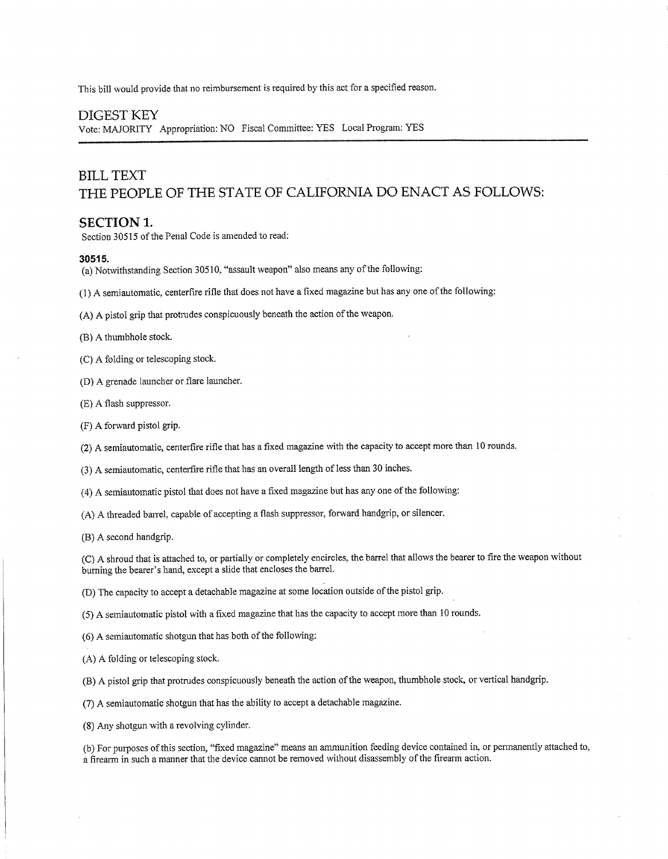This bill would provide that no reimbursement is required by this act for a specified reason.

#### **DIGEST KEY**

Vote: MAJORITY Appropriation: NO Fiscal Committee: YES Local Program: YES

# **BILL TEXT** THE PEOPLE OF THE STATE OF CALIFORNIA DO ENACT AS FOLLOWS:

#### **SECTION 1.**

Section 30515 of the Penal Code is amended to read:

#### 30515.

- (a) Notwithstanding Section 30510, "assault weapon" also means any of the following:
- (1) A semiautomatic, centerfire rifle that does not have a fixed magazine but has any one of the following:

(A) A pistol grip that protrudes conspicuously beneath the action of the weapon.

(B) A thumbhole stock.

(C) A folding or telescoping stock.

(D) A grenade launcher or flare launcher.

(E) A flash suppressor.

(F) A forward pistol grip.

(2) A semiautomatic, centerfire rifle that has a fixed magazine with the capacity to accept more than 10 rounds.

(3) A semiautomatic, centerfire rifle that has an overall length of less than 30 inches.

(4) A semiautomatic pistol that does not have a fixed magazine but has any one of the following:

(A) A threaded barrel, capable of accepting a flash suppressor, forward handgrip, or silencer.

(B) A second handgrip.

(C) A shroud that is attached to, or partially or completely encircles, the barrel that allows the bearer to fire the weapon without burning the bearer's hand, except a slide that encloses the barrel.

(D) The capacity to accept a detachable magazine at some location outside of the pistol grip.

(5) A semiautomatic pistol with a fixed magazine that has the capacity to accept more than 10 rounds.

(6) A semiautomatic shotgun that has both of the following:

(A) A folding or telescoping stock.

(B) A pistol grip that protrudes conspicuously beneath the action of the weapon, thumbhole stock, or vertical handgrip.

(7) A semiautomatic shotgun that has the ability to accept a detachable magazine.

(8) Any shotgun with a revolving cylinder.

(b) For purposes of this section, "fixed magazine" means an ammunition feeding device contained in, or permanently attached to, a firearm in such a manner that the device cannot be removed without disassembly of the firearm action.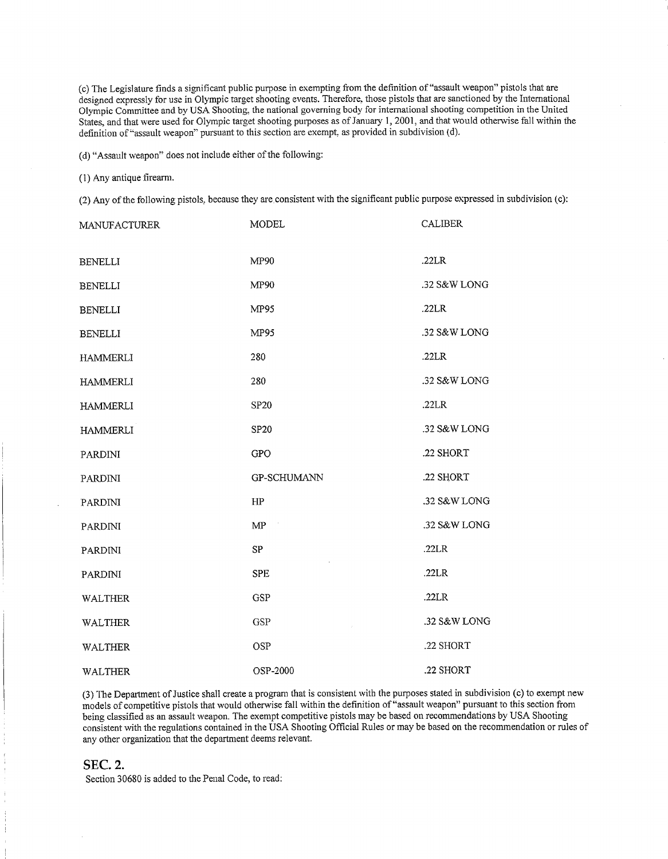(c) The Legislature finds a significant public purpose in exempting from the definition of "assault weapon" pistols that are designed expressly for use in Olympic target shooting events. Therefore, those pistols that are sanctioned by the International Olympic Committee and by USA Shooting, the national governing body for international shooting competition in the United States, and that were used for Olympic target shooting purposes as of January 1, 2001, and that would otherwise fall within the definition of "assault weapon" pursuant to this section are exempt, as provided in subdivision (d).

(d) "Assault weapon" does not include either of the following:

#### (1) Any antique firearm.

(2) Any of the following pistols, because they are consistent with the significant public purpose expressed in subdivision (c):

| <b>MANUFACTURER</b> | <b>MODEL</b> | <b>CALIBER</b> |
|---------------------|--------------|----------------|
| <b>BENELLI</b>      | MP90         | .22LR          |
| <b>BENELLI</b>      | MP90         | .32 S&W LONG   |
| <b>BENELLI</b>      | <b>MP95</b>  | .22LR          |
| <b>BENELLI</b>      | MP95         | .32 S&W LONG   |
| <b>HAMMERLI</b>     | 280          | .22LR          |
| <b>HAMMERLI</b>     | 280          | .32 S&W LONG   |
| <b>HAMMERLI</b>     | <b>SP20</b>  | .22LR          |
| <b>HAMMERLI</b>     | <b>SP20</b>  | .32 S&W LONG   |
| PARDINI             | <b>GPO</b>   | .22 SHORT      |
| PARDINI             | GP-SCHUMANN  | .22 SHORT      |
| <b>PARDINI</b>      | HP           | .32 S&W LONG   |
| <b>PARDINI</b>      | MP           | .32 S&W LONG   |
| <b>PARDINI</b>      | <b>SP</b>    | .22LR          |
| PARDINI             | <b>SPE</b>   | .22LR          |
| <b>WALTHER</b>      | <b>GSP</b>   | .22LR          |
| <b>WALTHER</b>      | <b>GSP</b>   | .32 S&W LONG   |
| <b>WALTHER</b>      | <b>OSP</b>   | .22 SHORT      |
| <b>WALTHER</b>      | OSP-2000     | .22 SHORT      |

(3) The Department of Justice shall create a program that is consistent with the purposes stated in subdivision (c) to exempt new models of competitive pistols that would otherwise fall within the definition of "assault weapon" pursuant to this section from being classified as an assault weapon. The exempt competitive pistols may be based on recommendations by USA Shooting consistent with the regulations contained in the USA Shooting Official Rules or may be based on the recommendation or rules of any other organization that the department deems relevant.

#### **SEC. 2.**

Section 30680 is added to the Penal Code, to read: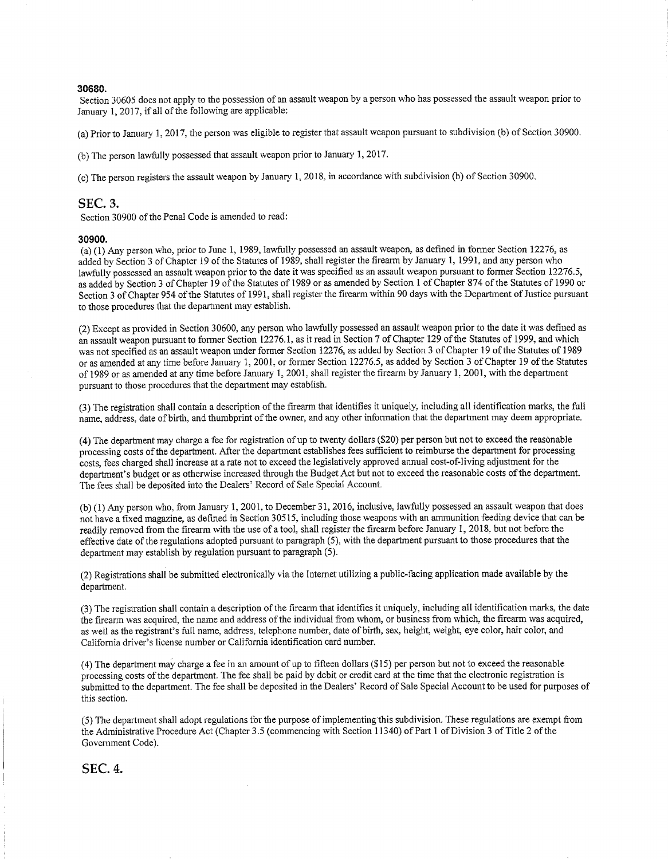#### 30680.

Section 30605 does not apply to the possession of an assault weapon by a person who has possessed the assault weapon prior to January 1, 2017, if all of the following are applicable:

(a) Prior to January 1, 2017, the person was eligible to register that assault weapon pursuant to subdivision (b) of Section 30900.

(b) The person lawfully possessed that assault weapon prior to January 1, 2017.

(c) The person registers the assault weapon by January 1, 2018, in accordance with subdivision (b) of Section 30900.

#### **SEC. 3.**

Section 30900 of the Penal Code is amended to read:

#### 30900

(a) (1) Any person who, prior to June 1, 1989, lawfully possessed an assault weapon, as defined in former Section 12276. as added by Section 3 of Chapter 19 of the Statutes of 1989, shall register the firearm by January 1, 1991, and any person who lawfully possessed an assault weapon prior to the date it was specified as an assault weapon pursuant to former Section 12276.5, as added by Section 3 of Chapter 19 of the Statutes of 1989 or as amended by Section 1 of Chapter 874 of the Statutes of 1990 or Section 3 of Chapter 954 of the Statutes of 1991, shall register the firearm within 90 days with the Department of Justice pursuant to those procedures that the department may establish.

(2) Except as provided in Section 30600, any person who lawfully possessed an assault weapon prior to the date it was defined as an assault weapon pursuant to former Section 12276.1, as it read in Section 7 of Chapter 129 of the Statutes of 1999. and which was not specified as an assault weapon under former Section 12276, as added by Section 3 of Chapter 19 of the Statutes of 1989 or as amended at any time before January 1, 2001, or former Section 12276.5, as added by Section 3 of Chapter 19 of the Statutes of 1989 or as amended at any time before January 1, 2001, shall register the firearm by January 1, 2001, with the department pursuant to those procedures that the department may establish.

(3) The registration shall contain a description of the firearm that identifies it uniquely, including all identification marks, the full name, address, date of birth, and thumbprint of the owner, and any other information that the department may deem appropriate.

(4) The department may charge a fee for registration of up to twenty dollars (\$20) per person but not to exceed the reasonable processing costs of the department. After the department establishes fees sufficient to reimburse the department for processing costs, fees charged shall increase at a rate not to exceed the legislatively approved annual cost-of-living adjustment for the department's budget or as otherwise increased through the Budget Act but not to exceed the reasonable costs of the department. The fees shall be deposited into the Dealers' Record of Sale Special Account.

(b) (1) Any person who, from January 1, 2001, to December 31, 2016, inclusive, lawfully possessed an assault weapon that does not have a fixed magazine, as defined in Section 30515, including those weapons with an ammunition feeding device that can be readily removed from the firearm with the use of a tool, shall register the firearm before January 1, 2018, but not before the effective date of the regulations adopted pursuant to paragraph  $(5)$ , with the department pursuant to those procedures that the department may establish by regulation pursuant to paragraph (5).

(2) Registrations shall be submitted electronically via the Internet utilizing a public-facing application made available by the department.

(3) The registration shall contain a description of the firearm that identifies it uniquely, including all identification marks, the date the firearm was acquired, the name and address of the individual from whom, or business from which, the firearm was acquired, as well as the registrant's full name, address, telephone number, date of birth, sex, height, weight, eye color, hair color, and California driver's license number or California identification card number.

(4) The department may charge a fee in an amount of up to fifteen dollars (\$15) per person but not to exceed the reasonable processing costs of the department. The fee shall be paid by debit or credit card at the time that the electronic registration is submitted to the department. The fee shall be deposited in the Dealers' Record of Sale Special Account to be used for purposes of this section.

(5) The department shall adopt regulations for the purpose of implementing this subdivision. These regulations are exempt from the Administrative Procedure Act (Chapter 3.5 (commencing with Section 11340) of Part 1 of Division 3 of Title 2 of the Government Code).

**SEC. 4.**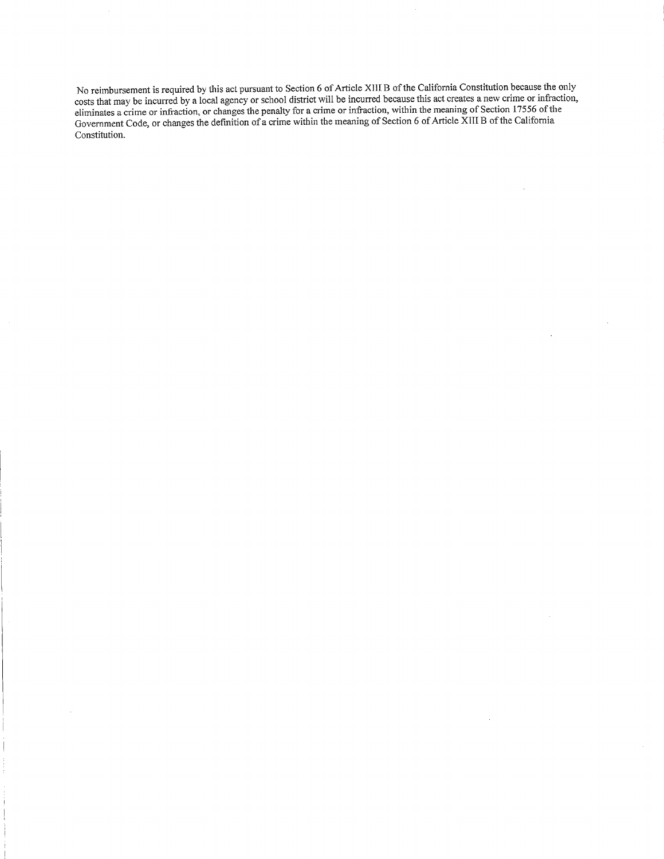No reimbursement is required by this act pursuant to Section 6 of Article XIII B of the California Constitution because the only costs that may be incurred by a local agency or school district will be incurred because this Constitution.

 $\ddot{\phantom{a}}$